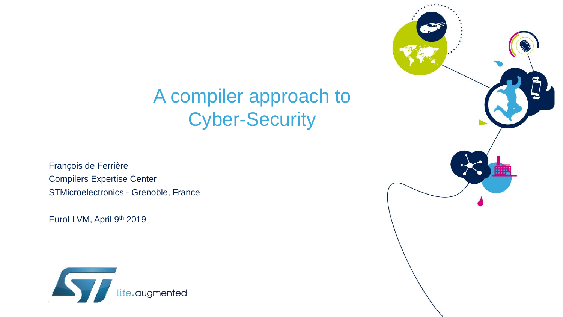# A compiler approach to Cyber-Security

François de Ferrière Compilers Expertise Center STMicroelectronics - Grenoble, France

EuroLLVM, April 9th 2019



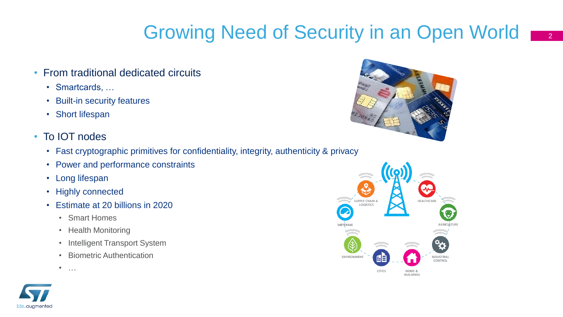# Growing Need of Security in an Open World  $\frac{1}{2}$

- From traditional dedicated circuits
	- Smartcards, …
	- Built-in security features
	- Short lifespan
- To IOT nodes
	- Fast cryptographic primitives for confidentiality, integrity, authenticity & privacy
	- Power and performance constraints
	- Long lifespan
	- Highly connected
	- Estimate at 20 billions in 2020
		- Smart Homes
		- Health Monitoring
		- Intelligent Transport System
		- Biometric Authentication
		- …





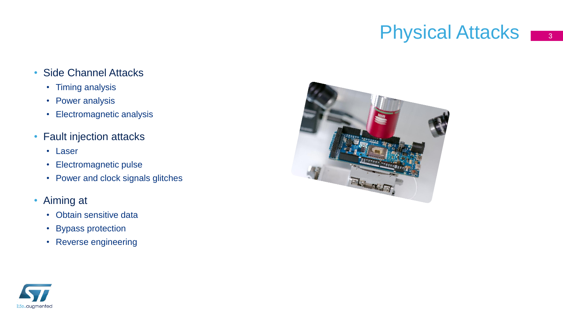### **Physical Attacks** 3

#### • Side Channel Attacks

- Timing analysis
- Power analysis
- Electromagnetic analysis
- Fault injection attacks
	- Laser
	- Electromagnetic pulse
	- Power and clock signals glitches
- Aiming at
	- Obtain sensitive data
	- Bypass protection
	- Reverse engineering



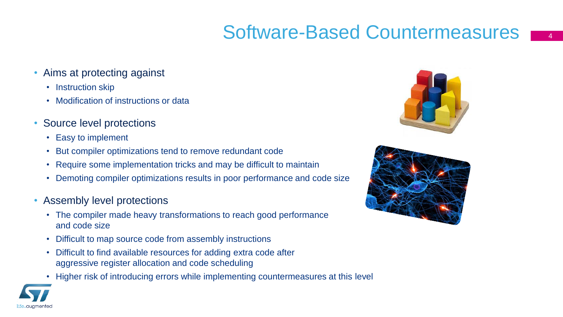### Software-Based Countermeasures

- Aims at protecting against
	- Instruction skip
	- Modification of instructions or data
- Source level protections
	- Easy to implement
	- But compiler optimizations tend to remove redundant code
	- Require some implementation tricks and may be difficult to maintain
	- Demoting compiler optimizations results in poor performance and code size
- Assembly level protections
	- The compiler made heavy transformations to reach good performance and code size
	- Difficult to map source code from assembly instructions
	- Difficult to find available resources for adding extra code after aggressive register allocation and code scheduling
	- Higher risk of introducing errors while implementing countermeasures at this level





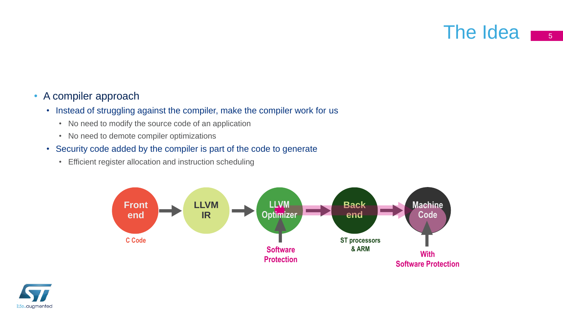### The Idea <sub>5</sub>

#### • A compiler approach

- Instead of struggling against the compiler, make the compiler work for us
	- No need to modify the source code of an application
	- No need to demote compiler optimizations
- Security code added by the compiler is part of the code to generate
	- Efficient register allocation and instruction scheduling



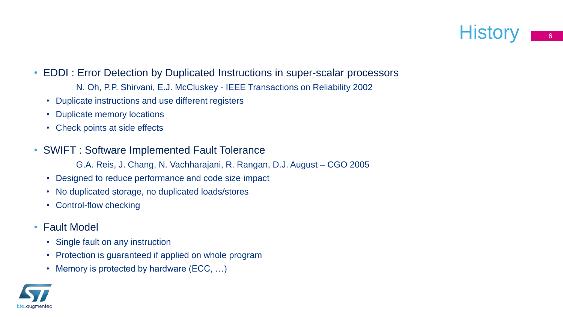

- EDDI : Error Detection by Duplicated Instructions in super-scalar processors
	- N. Oh, P.P. Shirvani, E.J. McCluskey IEEE Transactions on Reliability 2002
	- Duplicate instructions and use different registers
	- Duplicate memory locations
	- Check points at side effects
- SWIFT : Software Implemented Fault Tolerance
	- G.A. Reis, J. Chang, N. Vachharajani, R. Rangan, D.J. August CGO 2005
	- Designed to reduce performance and code size impact
	- No duplicated storage, no duplicated loads/stores
	- Control-flow checking
- Fault Model
	- Single fault on any instruction
	- Protection is guaranteed if applied on whole program
	- Memory is protected by hardware (ECC, ...)

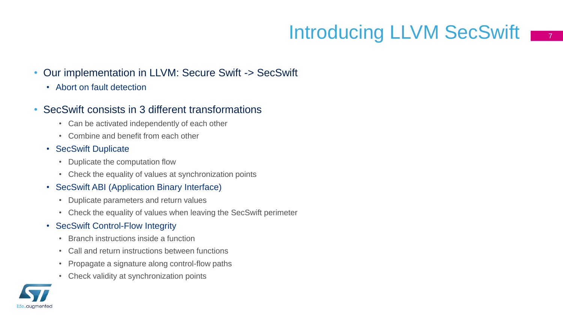# Introducing LLVM SecSwift  $\overline{1, 7}$

- Our implementation in LLVM: Secure Swift -> SecSwift
	- Abort on fault detection

#### • SecSwift consists in 3 different transformations

- Can be activated independently of each other
- Combine and benefit from each other
- SecSwift Duplicate
	- Duplicate the computation flow
	- Check the equality of values at synchronization points
- SecSwift ABI (Application Binary Interface)
	- Duplicate parameters and return values
	- Check the equality of values when leaving the SecSwift perimeter
- SecSwift Control-Flow Integrity
	- Branch instructions inside a function
	- Call and return instructions between functions
	- Propagate a signature along control-flow paths
	- Check validity at synchronization points

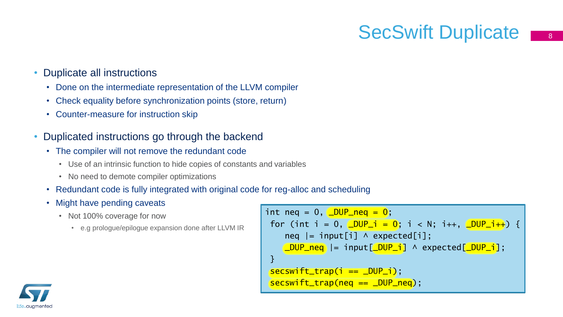# SecSwift Duplicate

#### • Duplicate all instructions

- Done on the intermediate representation of the LLVM compiler
- Check equality before synchronization points (store, return)
- Counter-measure for instruction skip
- Duplicated instructions go through the backend
	- The compiler will not remove the redundant code
		- Use of an intrinsic function to hide copies of constants and variables
		- No need to demote compiler optimizations
	- Redundant code is fully integrated with original code for reg-alloc and scheduling
	- Might have pending caveats
		- Not 100% coverage for now
			- e.g prologue/epilogue expansion done after LLVM IR

```
int neq = 0, \angleDUP_neq = 0;
 for (int i = 0, \angleDUP<sub>_</sub>i = 0; i < N; i++, \angleDUP_i++) {
     \text{neg} \vert = \text{input}[i] \land expected\vert i \vert;
     LOUP_neq |= input[LOUP_i] ^ expected[LOUP_i];
 }
 secswift_trap(i == _DUP_i);
 secswift_trap(neq == DUP_neq);
```
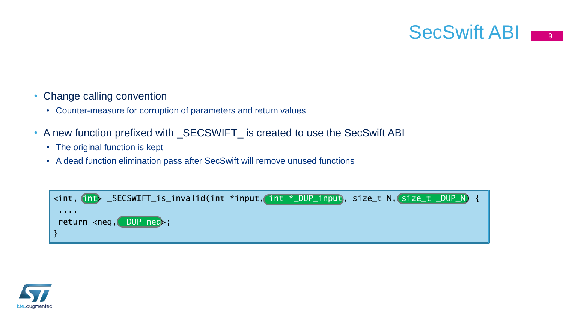- 
- Change calling convention
	- Counter-measure for corruption of parameters and return values
- A new function prefixed with \_SECSWIFT\_ is created to use the SecSwift ABI
	- The original function is kept
	- A dead function elimination pass after SecSwift will remove unused functions



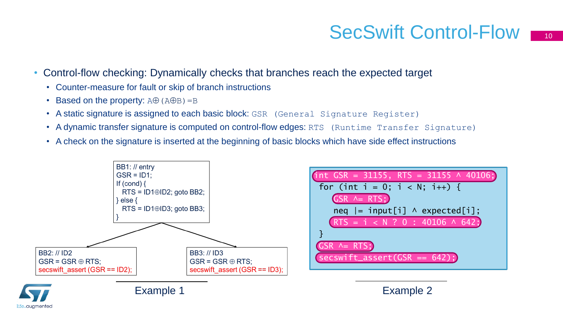### SecSwift Control-Flow

- Control-flow checking: Dynamically checks that branches reach the expected target
	- Counter-measure for fault or skip of branch instructions
	- Based on the property:  $A\oplus (A\oplus B)=B$
	- A static signature is assigned to each basic block: GSR (General Signature Register)
	- A dynamic transfer signature is computed on control-flow edges: RTS (Runtime Transfer Signature)
	- A check on the signature is inserted at the beginning of basic blocks which have side effect instructions



| int GSR = 31155, RTS = 31155 $\land$ 40106; |
|---------------------------------------------|
| for (int i = 0; i < N; i++) {               |
| $GSR$ $\land$ = RTS;                        |
| $neq$  = input[i] $\land$ expected[i];      |
| $RTS = i < N$ ? 0 : 40106 ^ 642;            |
|                                             |
| $GSR$ $\land$ RTS;)                         |
| $secswift\_assert(GSR == 642);$             |
|                                             |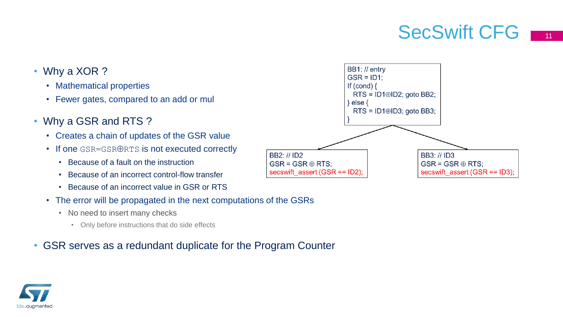### SecSwift CFG 111

- Why a XOR?
	- Mathematical properties
	- Fewer gates, compared to an add or mul
- Why a GSR and RTS?
	- Creates a chain of updates of the GSR value
	- If one GSR=GSRORTS is not executed correctly
		- Because of a fault on the instruction
		- Because of an incorrect control-flow transfer
		- Because of an incorrect value in GSR or RTS
	- The error will be propagated in the next computations of the GSRs
		- No need to insert many checks
			- Only before instructions that do side effects

#### • GSR serves as a redundant duplicate for the Program Counter



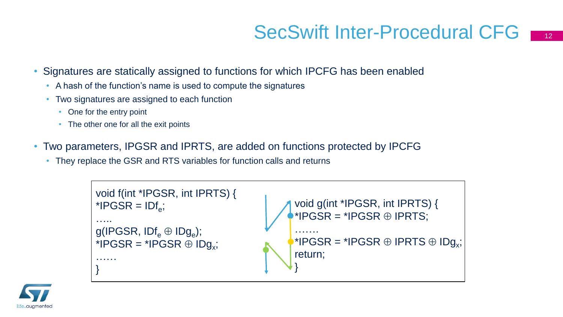### SecSwift Inter-Procedural CFG

- Signatures are statically assigned to functions for which IPCFG has been enabled
	- A hash of the function's name is used to compute the signatures
	- Two signatures are assigned to each function
		- One for the entry point
		- The other one for all the exit points
- Two parameters, IPGSR and IPRTS, are added on functions protected by IPCFG
	- They replace the GSR and RTS variables for function calls and returns



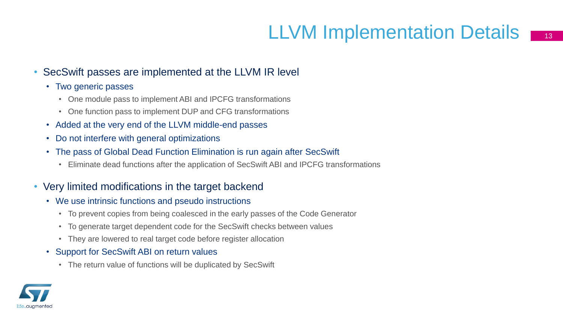# LLVM Implementation Details

#### • SecSwift passes are implemented at the LLVM IR level

- Two generic passes
	- One module pass to implement ABI and IPCFG transformations
	- One function pass to implement DUP and CFG transformations
- Added at the very end of the LLVM middle-end passes
- Do not interfere with general optimizations
- The pass of Global Dead Function Elimination is run again after SecSwift
	- Eliminate dead functions after the application of SecSwift ABI and IPCFG transformations

#### • Very limited modifications in the target backend

- We use intrinsic functions and pseudo instructions
	- To prevent copies from being coalesced in the early passes of the Code Generator
	- To generate target dependent code for the SecSwift checks between values
	- They are lowered to real target code before register allocation
- Support for SecSwift ABI on return values
	- The return value of functions will be duplicated by SecSwift

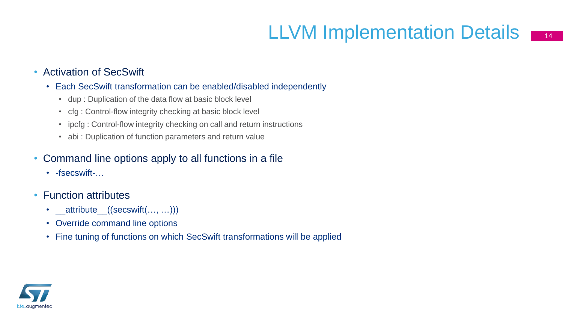# LLVM Implementation Details 14

#### • Activation of SecSwift

- Each SecSwift transformation can be enabled/disabled independently
	- dup : Duplication of the data flow at basic block level
	- cfg : Control-flow integrity checking at basic block level
	- ipcfg : Control-flow integrity checking on call and return instructions
	- abi : Duplication of function parameters and return value
- Command line options apply to all functions in a file
	- -fsecswift-…
- Function attributes
	- \_\_attribute\_((secswift(..., ...)))
	- Override command line options
	- Fine tuning of functions on which SecSwift transformations will be applied

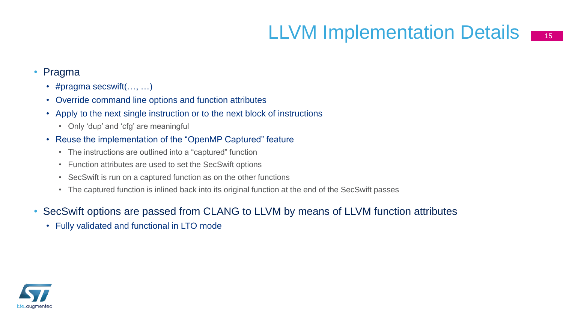# LLVM Implementation Details  $\blacksquare$

- Pragma
	- #pragma secswift(…, …)
	- Override command line options and function attributes
	- Apply to the next single instruction or to the next block of instructions
		- Only 'dup' and 'cfg' are meaningful
	- Reuse the implementation of the "OpenMP Captured" feature
		- The instructions are outlined into a "captured" function
		- Function attributes are used to set the SecSwift options
		- SecSwift is run on a captured function as on the other functions
		- The captured function is inlined back into its original function at the end of the SecSwift passes
- SecSwift options are passed from CLANG to LLVM by means of LLVM function attributes
	- Fully validated and functional in LTO mode

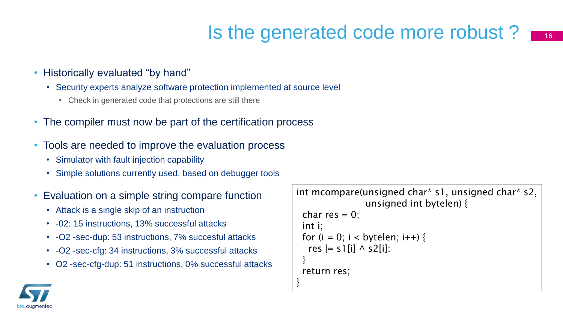### Is the generated code more robust?

- Historically evaluated "by hand"
	- Security experts analyze software protection implemented at source level
		- Check in generated code that protections are still there
- The compiler must now be part of the certification process
- Tools are needed to improve the evaluation process
	- Simulator with fault injection capability
	- Simple solutions currently used, based on debugger tools
- Evaluation on a simple string compare function
	- Attack is a single skip of an instruction
	- -02: 15 instructions, 13% successful attacks
	- -O2 -sec-dup: 53 instructions, 7% succesful attacks
	- -O2 -sec-cfg: 34 instructions, 3% successful attacks
	- O2 -sec-cfg-dup: 51 instructions, 0% successful attacks

```
int mcompare(unsigned char* s1, unsigned char* s2,
                unsigned int bytelen) {
 char res = 0;
 int i;
 for (i = 0; i < bytelen; i++) {
  res = s1[i] \wedge s2[i];
 }
 return res;
}
```
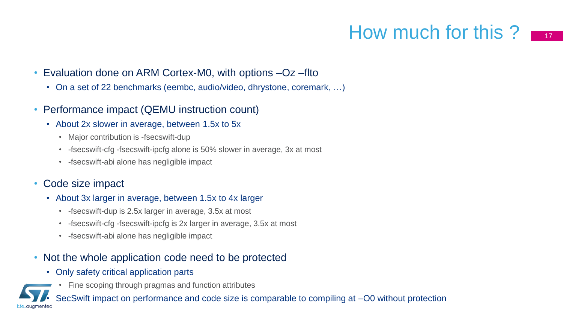### How much for this ?  $\blacksquare$

- Evaluation done on ARM Cortex-M0, with options  $-Oz$  –flto
	- On a set of 22 benchmarks (eembc, audio/video, dhrystone, coremark, …)
- Performance impact (QEMU instruction count)
	- About 2x slower in average, between 1.5x to 5x
		- Major contribution is -fsecswift-dup
		- -fsecswift-cfg -fsecswift-ipcfg alone is 50% slower in average, 3x at most
		- -fsecswift-abi alone has negligible impact

### • Code size impact

- About 3x larger in average, between 1.5x to 4x larger
	- -fsecswift-dup is 2.5x larger in average, 3.5x at most
	- -fsecswift-cfg -fsecswift-ipcfg is 2x larger in average, 3.5x at most
	- -fsecswift-abi alone has negligible impact

#### • Not the whole application code need to be protected

- Only safety critical application parts
	- Fine scoping through pragmas and function attributes

SecSwift impact on performance and code size is comparable to compiling at -O0 without protection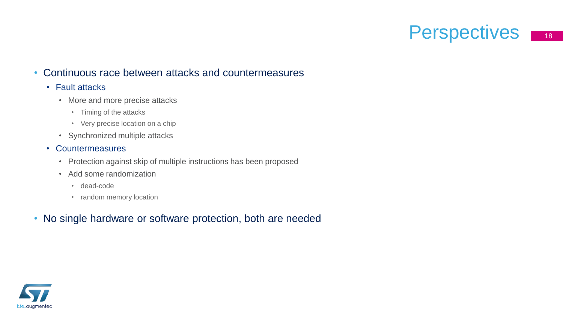### Perspectives **18**

#### • Continuous race between attacks and countermeasures

#### • Fault attacks

- More and more precise attacks
	- Timing of the attacks
	- Very precise location on a chip
- Synchronized multiple attacks
- Countermeasures
	- Protection against skip of multiple instructions has been proposed
	- Add some randomization
		- dead-code
		- random memory location
- No single hardware or software protection, both are needed

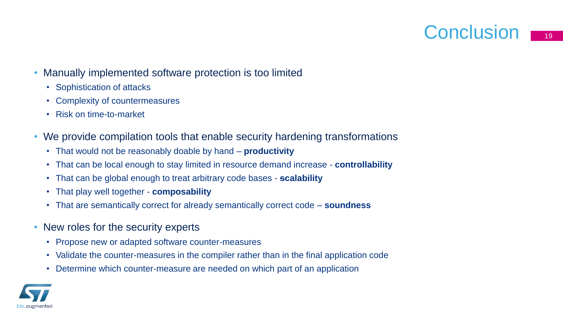### Conclusion  $\blacksquare$



- Manually implemented software protection is too limited
	- Sophistication of attacks
	- Complexity of countermeasures
	- Risk on time-to-market
- We provide compilation tools that enable security hardening transformations
	- That would not be reasonably doable by hand **productivity**
	- That can be local enough to stay limited in resource demand increase **controllability**
	- That can be global enough to treat arbitrary code bases **scalability**
	- That play well together **composability**
	- That are semantically correct for already semantically correct code **soundness**
- New roles for the security experts
	- Propose new or adapted software counter-measures
	- Validate the counter-measures in the compiler rather than in the final application code
	- Determine which counter-measure are needed on which part of an application